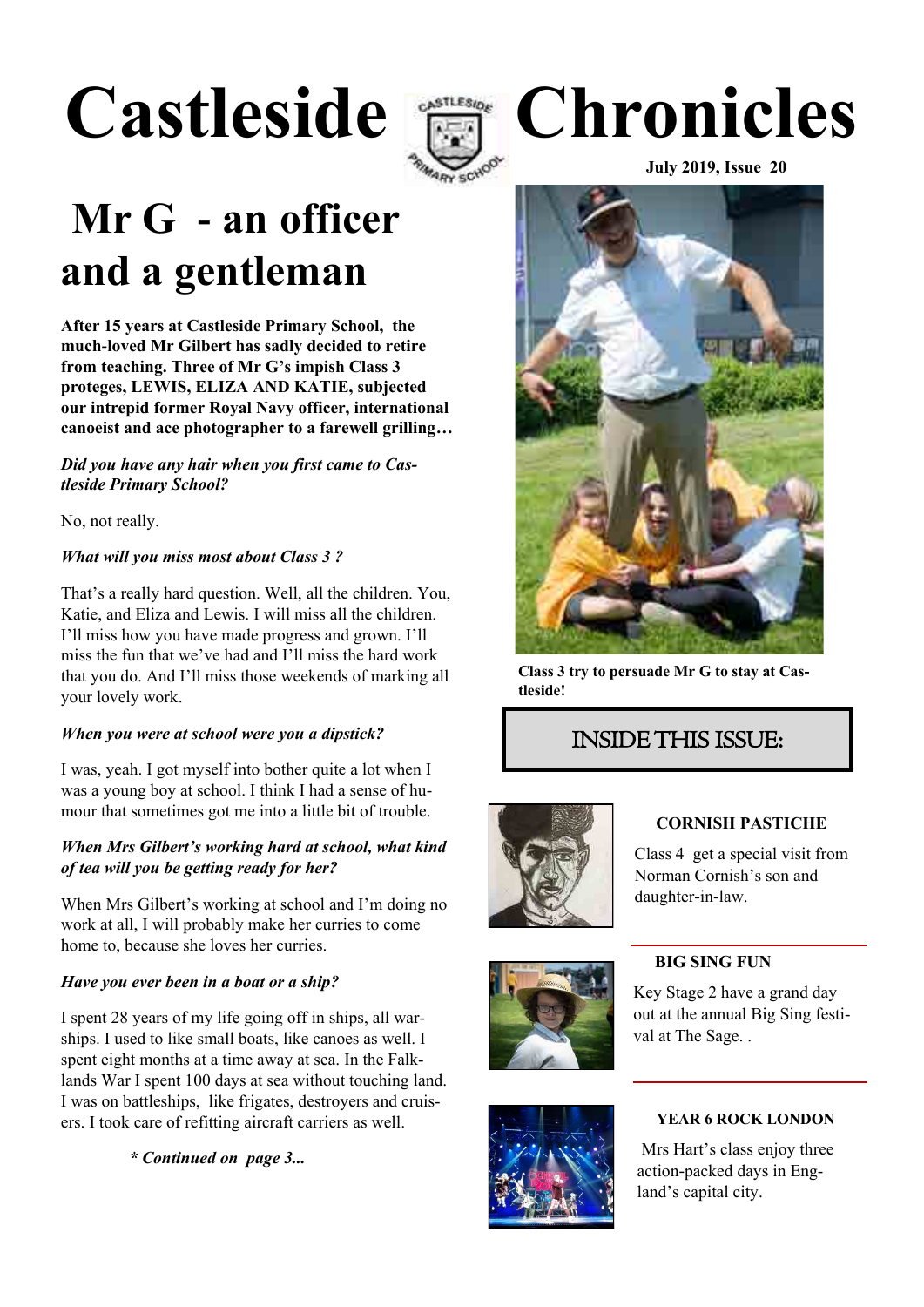# **Castleside Chronicles**



**July 2019, Issue 20**

## **Mr G - an officer and a gentleman**

**After 15 years at Castleside Primary School, the much-loved Mr Gilbert has sadly decided to retire from teaching. Three of Mr G's impish Class 3 proteges, LEWIS, ELIZA AND KATIE, subjected our intrepid former Royal Navy officer, international canoeist and ace photographer to a farewell grilling…**

*Did you have any hair when you first came to Castleside Primary School?*

No, not really.

#### *What will you miss most about Class 3 ?*

That's a really hard question. Well, all the children. You, Katie, and Eliza and Lewis. I will miss all the children. I'll miss how you have made progress and grown. I'll miss the fun that we've had and I'll miss the hard work that you do. And I'll miss those weekends of marking all your lovely work.

#### *When you were at school were you a dipstick?*

I was, yeah. I got myself into bother quite a lot when I was a young boy at school. I think I had a sense of humour that sometimes got me into a little bit of trouble.

#### *When Mrs Gilbert's working hard at school, what kind of tea will you be getting ready for her?*

When Mrs Gilbert's working at school and I'm doing no work at all, I will probably make her curries to come home to, because she loves her curries.

#### *Have you ever been in a boat or a ship?*

I spent 28 years of my life going off in ships, all warships. I used to like small boats, like canoes as well. I spent eight months at a time away at sea. In the Falklands War I spent 100 days at sea without touching land. I was on battleships, like frigates, destroyers and cruisers. I took care of refitting aircraft carriers as well.

 *\* Continued on page 3...*



**Class 3 try to persuade Mr G to stay at Castleside!**

#### INSIDE THIS ISSUE:



#### **CORNISH PASTICHE**

Class 4 get a special visit from Norman Cornish's son and daughter-in-law.



#### **BIG SING FUN**

Key Stage 2 have a grand day out at the annual Big Sing festival at The Sage. .



#### **YEAR 6 ROCK LONDON**

Mrs Hart's class enjoy three action-packed days in England's capital city.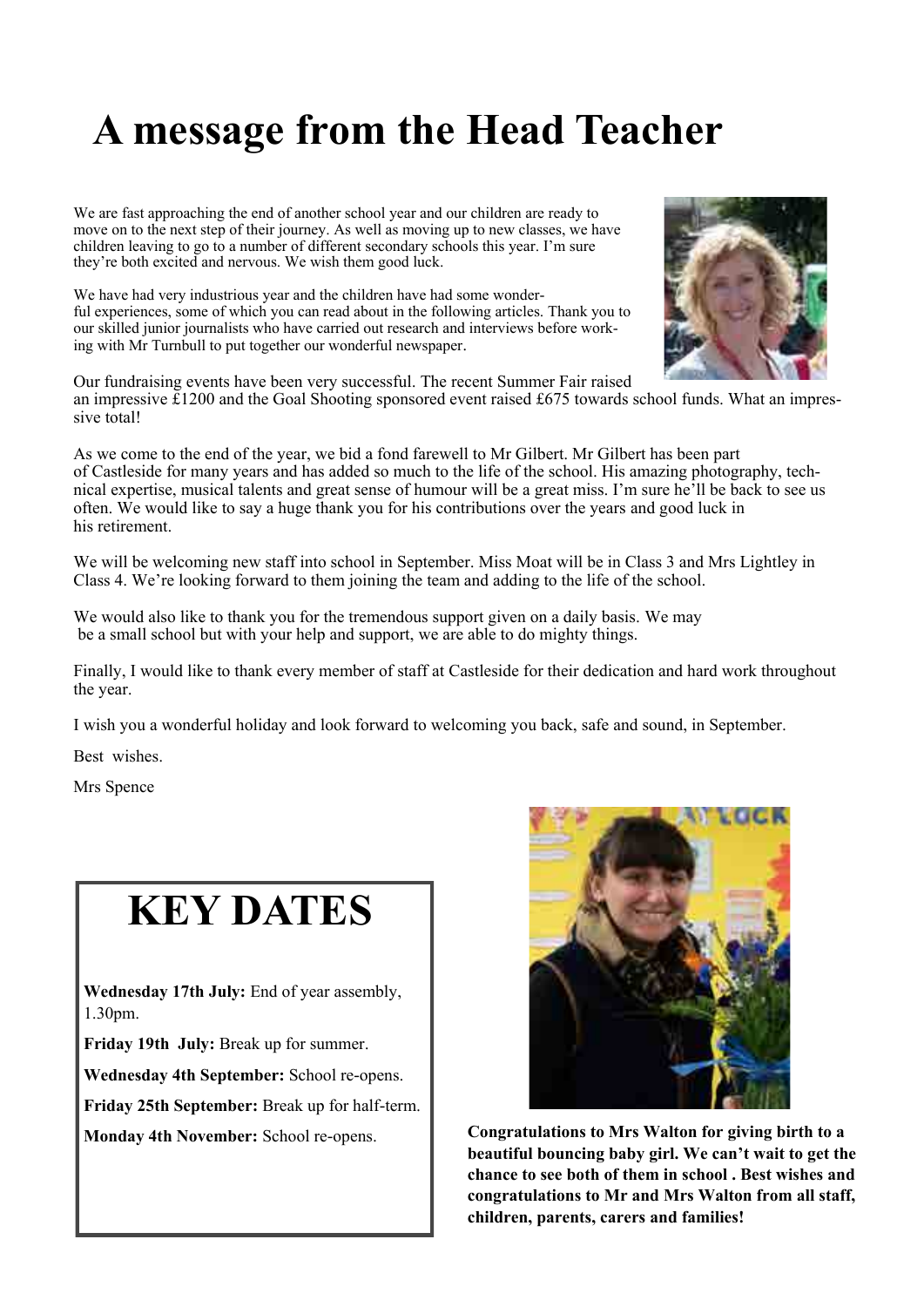## **A message from the Head Teacher**

We are fast approaching the end of another school year and our children are ready to move on to the next step of their journey. As well as moving up to new classes, we have children leaving to go to a number of different secondary schools this year. I'm sure they're both excited and nervous. We wish them good luck.

We have had very industrious year and the children have had some wonderful experiences, some of which you can read about in the following articles. Thank you to our skilled junior journalists who have carried out research and interviews before working with Mr Turnbull to put together our wonderful newspaper.



Our fundraising events have been very successful. The recent Summer Fair raised an impressive £1200 and the Goal Shooting sponsored event raised £675 towards school funds. What an impressive total!

As we come to the end of the year, we bid a fond farewell to Mr Gilbert. Mr Gilbert has been part of Castleside for many years and has added so much to the life of the school. His amazing photography, technical expertise, musical talents and great sense of humour will be a great miss. I'm sure he'll be back to see us often. We would like to say a huge thank you for his contributions over the years and good luck in his retirement.

We will be welcoming new staff into school in September. Miss Moat will be in Class 3 and Mrs Lightley in Class 4. We're looking forward to them joining the team and adding to the life of the school.

We would also like to thank you for the tremendous support given on a daily basis. We may be a small school but with your help and support, we are able to do mighty things.

Finally, I would like to thank every member of staff at Castleside for their dedication and hard work throughout the year.

I wish you a wonderful holiday and look forward to welcoming you back, safe and sound, in September.

Best wishes.

Mrs Spence

### **KEY DATES**

**Wednesday 17th July:** End of year assembly, 1.30pm.

**Friday 19th July:** Break up for summer.

**Wednesday 4th September:** School re-opens.

**Friday 25th September:** Break up for half-term.



**Monday 4th November:** School re-opens. **Congratulations to Mrs Walton for giving birth to a beautiful bouncing baby girl. We can't wait to get the chance to see both of them in school . Best wishes and congratulations to Mr and Mrs Walton from all staff, children, parents, carers and families!**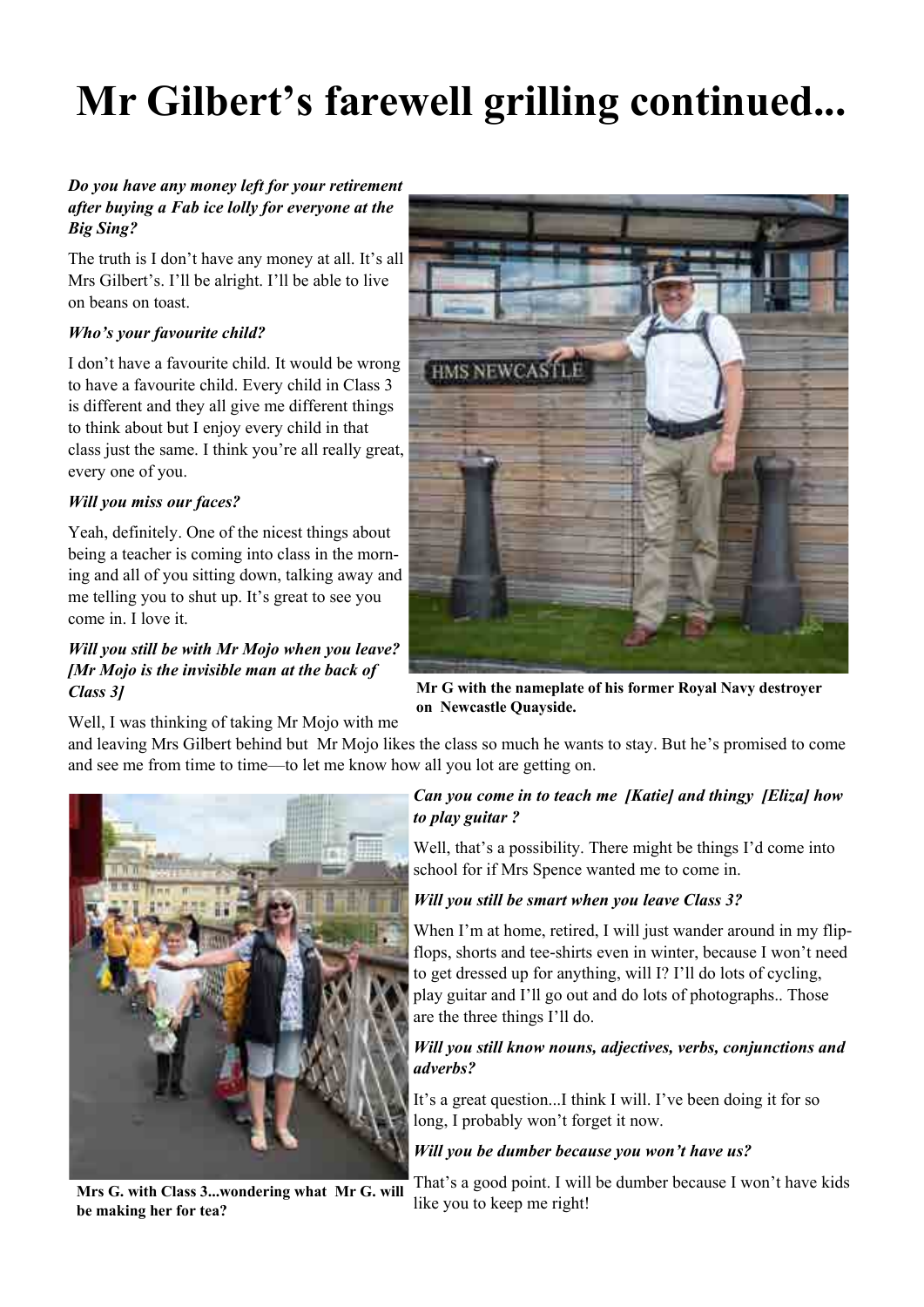## **Mr Gilbert's farewell grilling continued...**

#### *Do you have any money left for your retirement after buying a Fab ice lolly for everyone at the Big Sing?*

The truth is I don't have any money at all. It's all Mrs Gilbert's. I'll be alright. I'll be able to live on beans on toast.

#### *Who's your favourite child?*

I don't have a favourite child. It would be wrong to have a favourite child. Every child in Class 3 is different and they all give me different things to think about but I enjoy every child in that class just the same. I think you're all really great, every one of you.

#### *Will you miss our faces?*

Yeah, definitely. One of the nicest things about being a teacher is coming into class in the morning and all of you sitting down, talking away and me telling you to shut up. It's great to see you come in. I love it.

#### *Will you still be with Mr Mojo when you leave? [Mr Mojo is the invisible man at the back of Class 3]*



**Mr G with the nameplate of his former Royal Navy destroyer on Newcastle Quayside.**

Well, I was thinking of taking Mr Mojo with me

and leaving Mrs Gilbert behind but Mr Mojo likes the class so much he wants to stay. But he's promised to come and see me from time to time—to let me know how all you lot are getting on.



**Mrs G. with Class 3...wondering what Mr G. will be making her for tea?**

#### *Can you come in to teach me [Katie] and thingy [Eliza] how to play guitar ?*

Well, that's a possibility. There might be things I'd come into school for if Mrs Spence wanted me to come in.

#### *Will you still be smart when you leave Class 3?*

When I'm at home, retired, I will just wander around in my flipflops, shorts and tee-shirts even in winter, because I won't need to get dressed up for anything, will I? I'll do lots of cycling, play guitar and I'll go out and do lots of photographs.. Those are the three things I'll do.

#### *Will you still know nouns, adjectives, verbs, conjunctions and adverbs?*

It's a great question...I think I will. I've been doing it for so long, I probably won't forget it now.

#### *Will you be dumber because you won't have us?*

That's a good point. I will be dumber because I won't have kids like you to keep me right!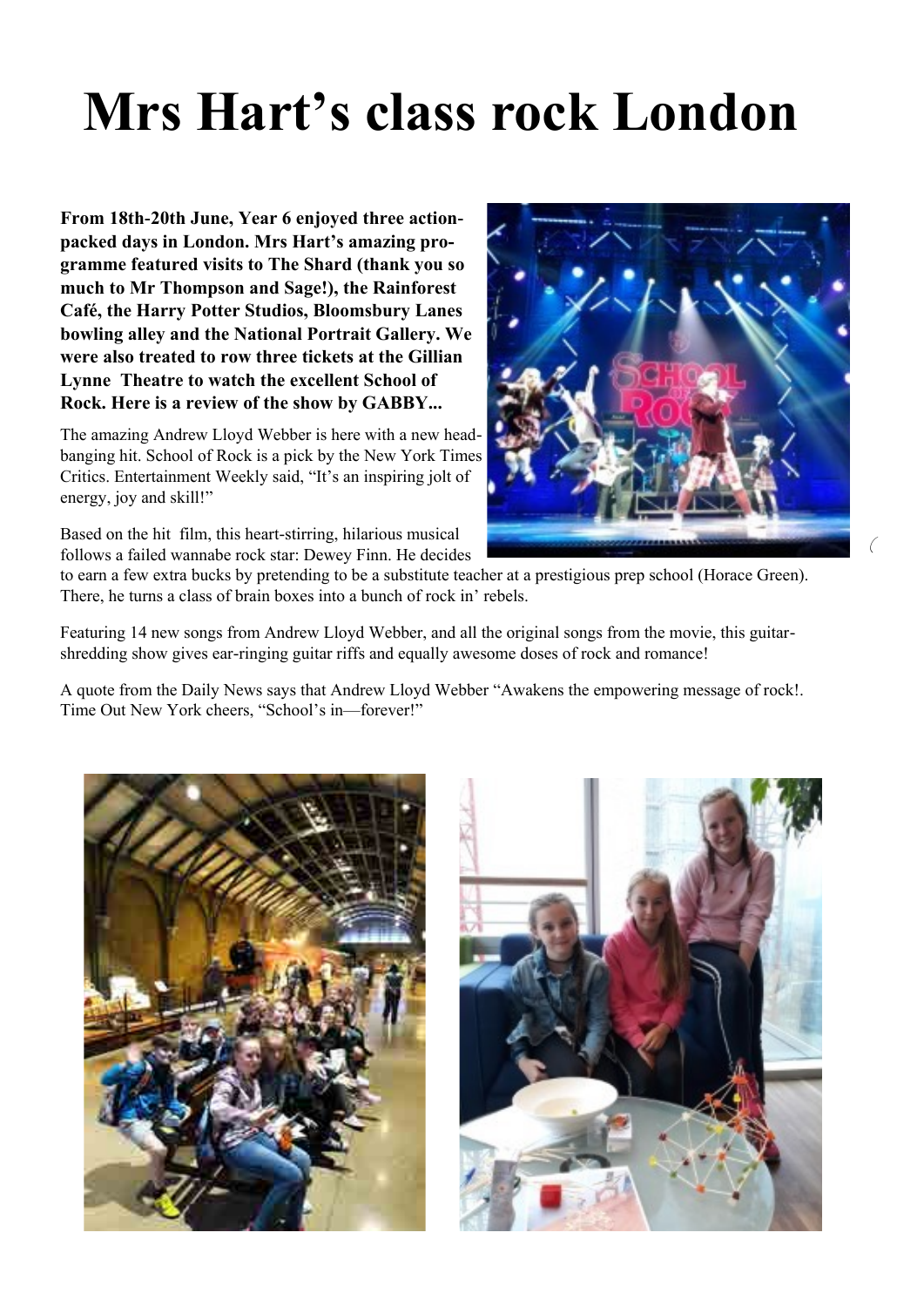## **Mrs Hart's class rock London**

**From 18th-20th June, Year 6 enjoyed three actionpacked days in London. Mrs Hart's amazing programme featured visits to The Shard (thank you so much to Mr Thompson and Sage!), the Rainforest Café, the Harry Potter Studios, Bloomsbury Lanes bowling alley and the National Portrait Gallery. We were also treated to row three tickets at the Gillian Lynne Theatre to watch the excellent School of Rock. Here is a review of the show by GABBY...**

The amazing Andrew Lloyd Webber is here with a new headbanging hit. School of Rock is a pick by the New York Times Critics. Entertainment Weekly said, "It's an inspiring jolt of energy, joy and skill!"

Based on the hit film, this heart-stirring, hilarious musical follows a failed wannabe rock star: Dewey Finn. He decides



(

to earn a few extra bucks by pretending to be a substitute teacher at a prestigious prep school (Horace Green). There, he turns a class of brain boxes into a bunch of rock in' rebels.

Featuring 14 new songs from Andrew Lloyd Webber, and all the original songs from the movie, this guitarshredding show gives ear-ringing guitar riffs and equally awesome doses of rock and romance!

A quote from the Daily News says that Andrew Lloyd Webber "Awakens the empowering message of rock!. Time Out New York cheers, "School's in—forever!"



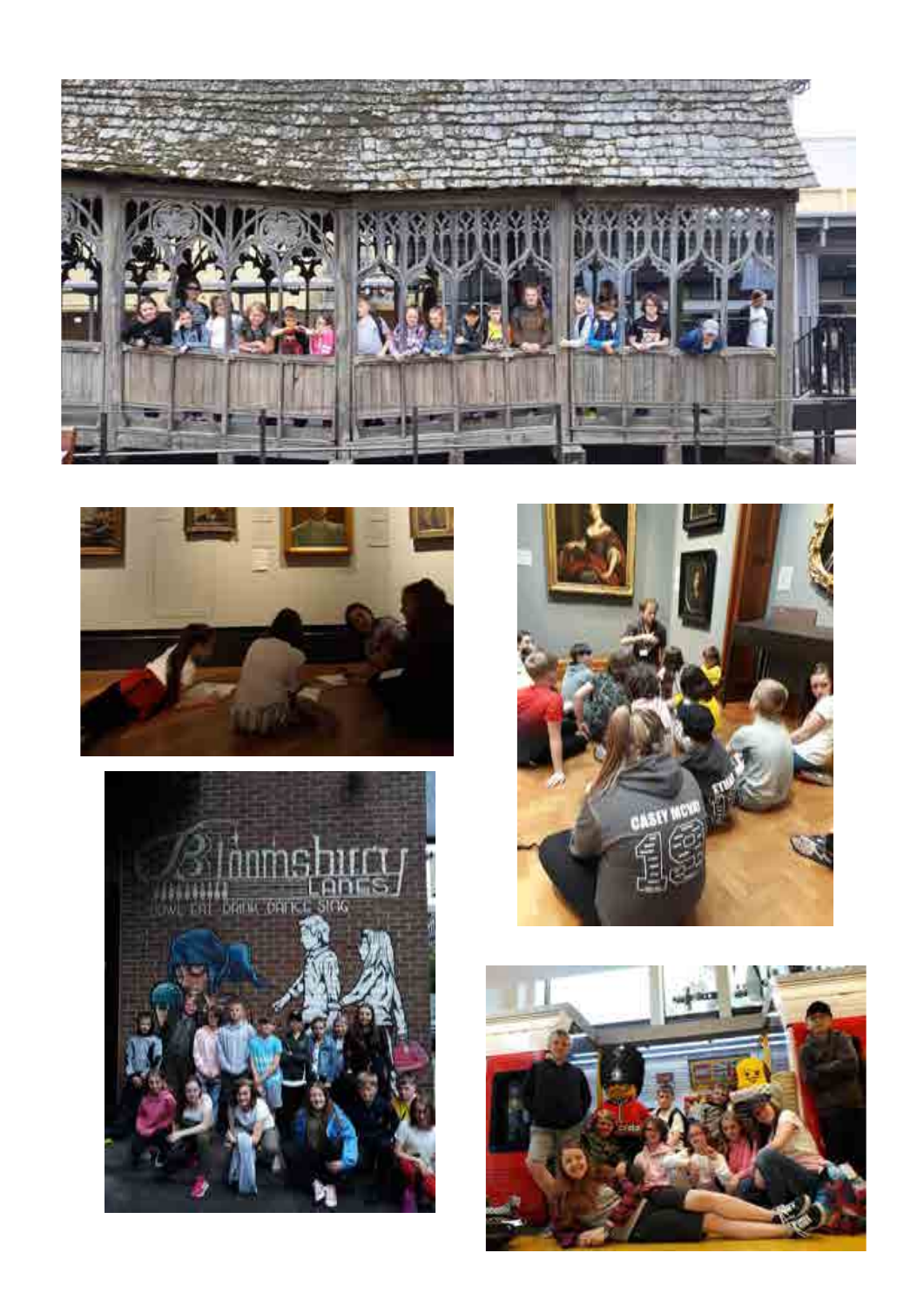







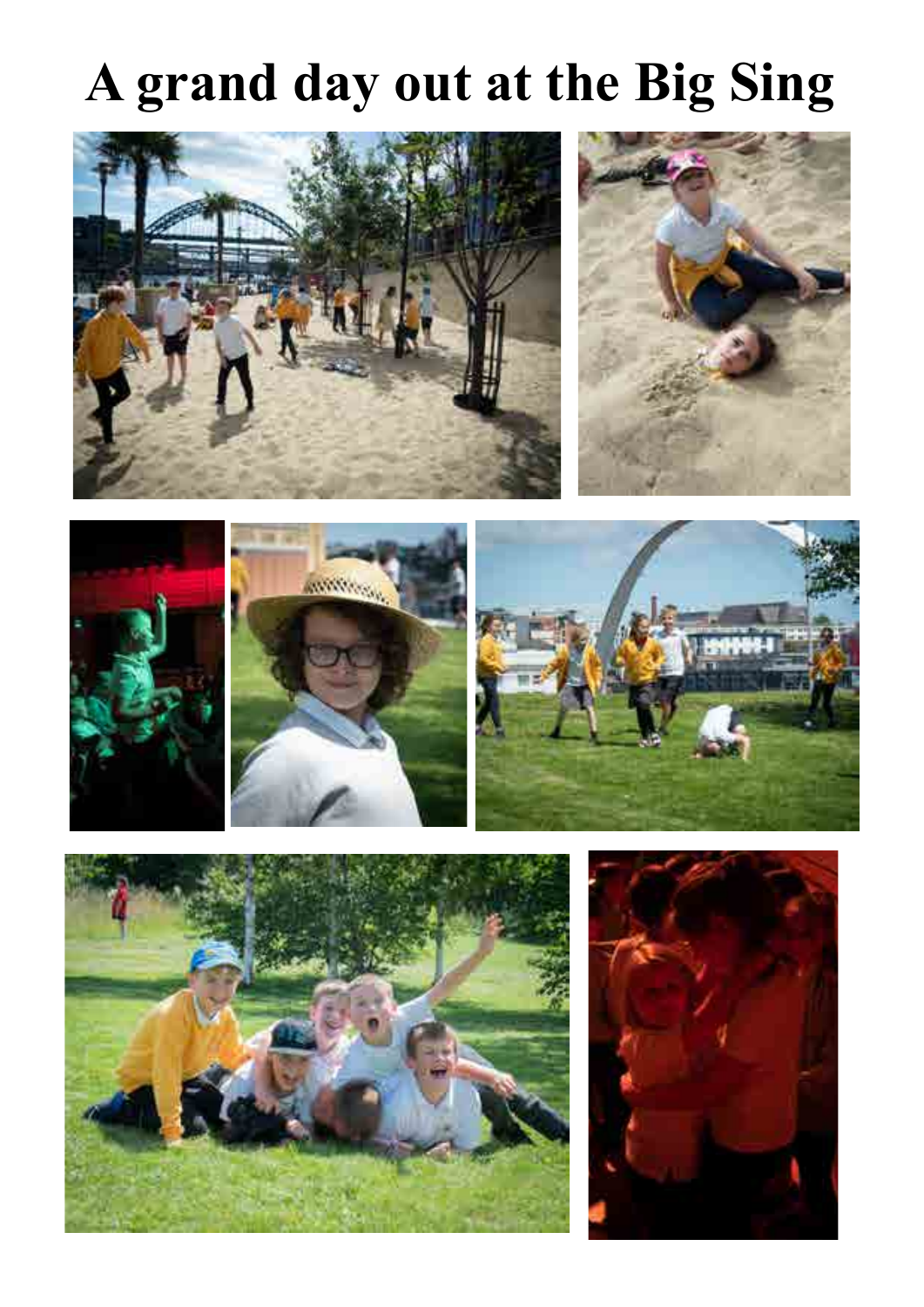## **A grand day out at the Big Sing**













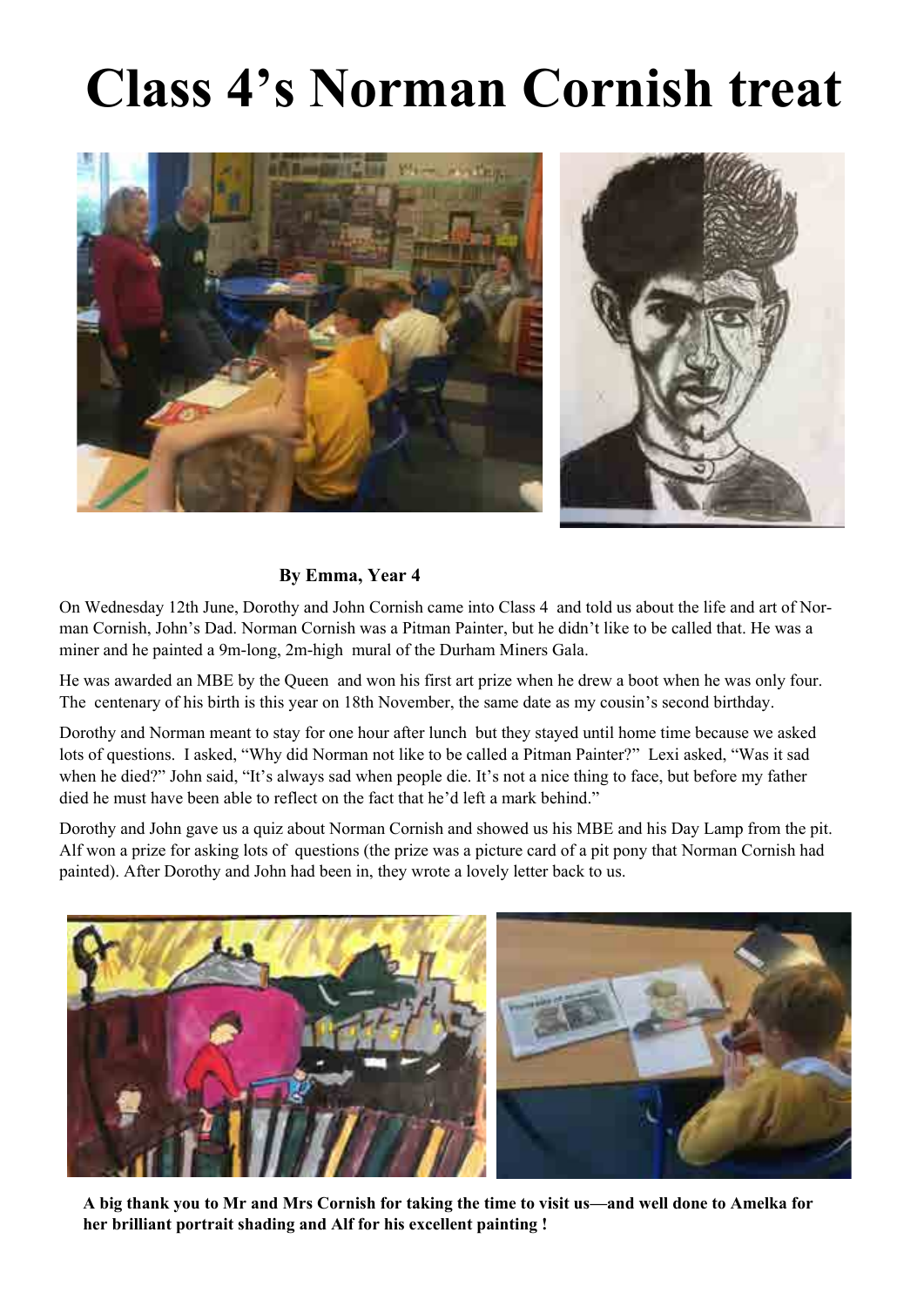## **Class 4's Norman Cornish treat**



#### **By Emma, Year 4**

On Wednesday 12th June, Dorothy and John Cornish came into Class 4 and told us about the life and art of Norman Cornish, John's Dad. Norman Cornish was a Pitman Painter, but he didn't like to be called that. He was a miner and he painted a 9m-long, 2m-high mural of the Durham Miners Gala.

He was awarded an MBE by the Queen and won his first art prize when he drew a boot when he was only four. The centenary of his birth is this year on 18th November, the same date as my cousin's second birthday.

Dorothy and Norman meant to stay for one hour after lunch but they stayed until home time because we asked lots of questions. I asked, "Why did Norman not like to be called a Pitman Painter?" Lexi asked, "Was it sad when he died?" John said, "It's always sad when people die. It's not a nice thing to face, but before my father died he must have been able to reflect on the fact that he'd left a mark behind."

Dorothy and John gave us a quiz about Norman Cornish and showed us his MBE and his Day Lamp from the pit. Alf won a prize for asking lots of questions (the prize was a picture card of a pit pony that Norman Cornish had painted). After Dorothy and John had been in, they wrote a lovely letter back to us.



**A big thank you to Mr and Mrs Cornish for taking the time to visit us—and well done to Amelka for her brilliant portrait shading and Alf for his excellent painting !**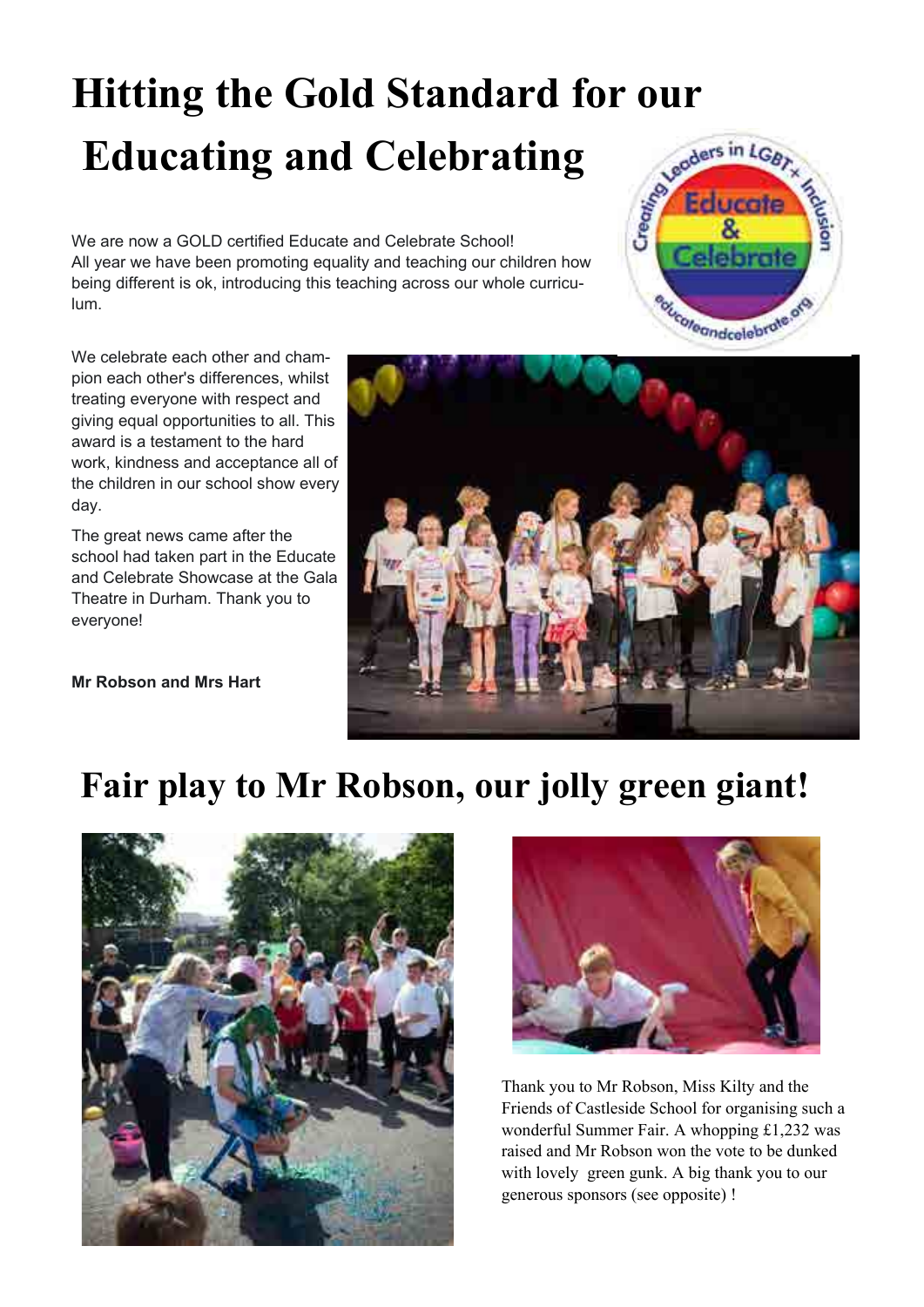## **Hitting the Gold Standard for our Educating and Celebrating**

We are now a GOLD certified Educate and Celebrate School! All year we have been promoting equality and teaching our children how being different is ok, introducing this teaching across our whole curriculum.



We celebrate each other and champion each other's differences, whilst treating everyone with respect and giving equal opportunities to all. This award is a testament to the hard work, kindness and acceptance all of the children in our school show every day.

The great news came after the school had taken part in the Educate and Celebrate Showcase at the Gala Theatre in Durham. Thank you to everyone!

**Mr Robson and Mrs Hart**



### **Fair play to Mr Robson, our jolly green giant!**





Thank you to Mr Robson, Miss Kilty and the Friends of Castleside School for organising such a wonderful Summer Fair. A whopping £1,232 was raised and Mr Robson won the vote to be dunked with lovely green gunk. A big thank you to our generous sponsors (see opposite) !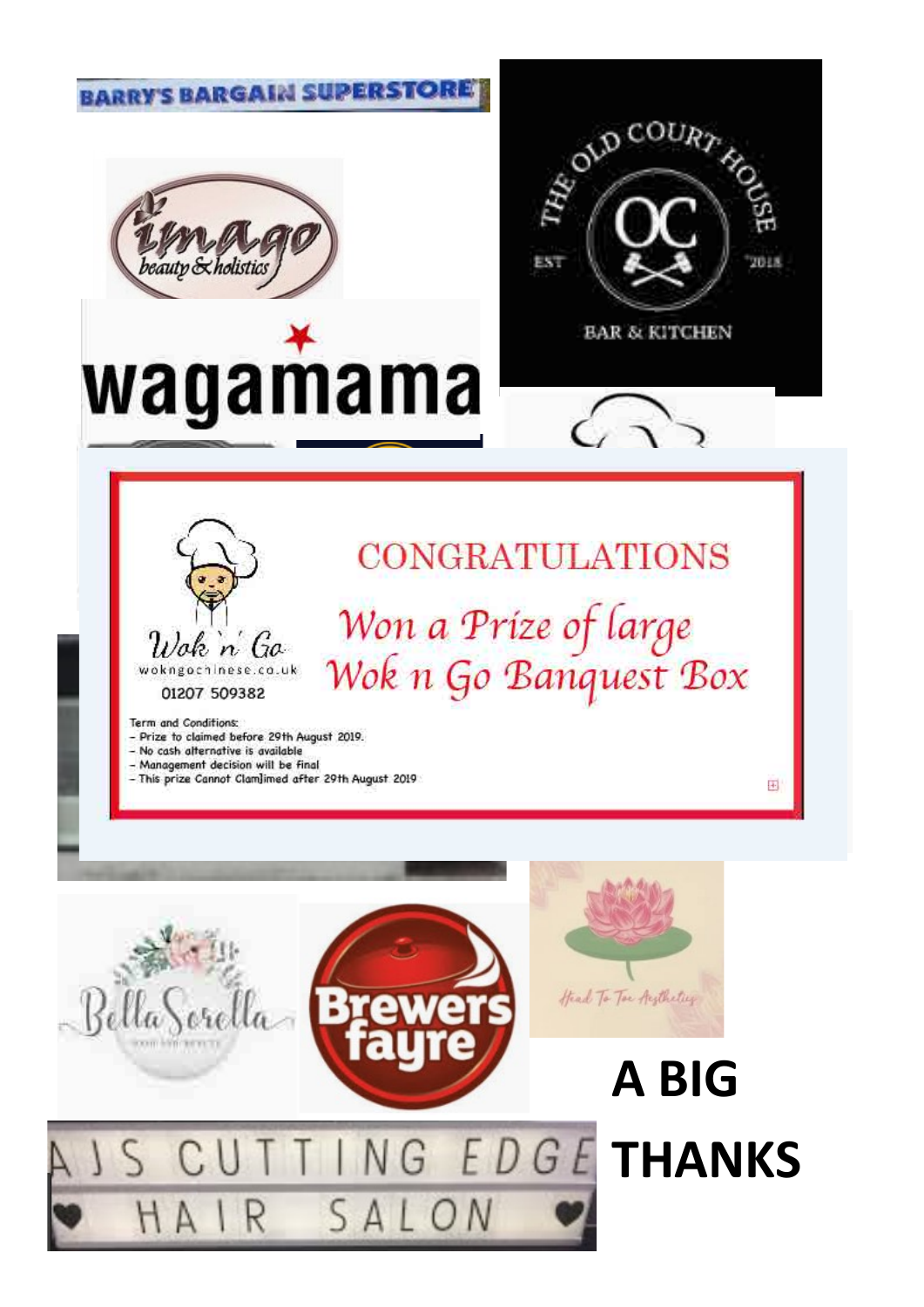